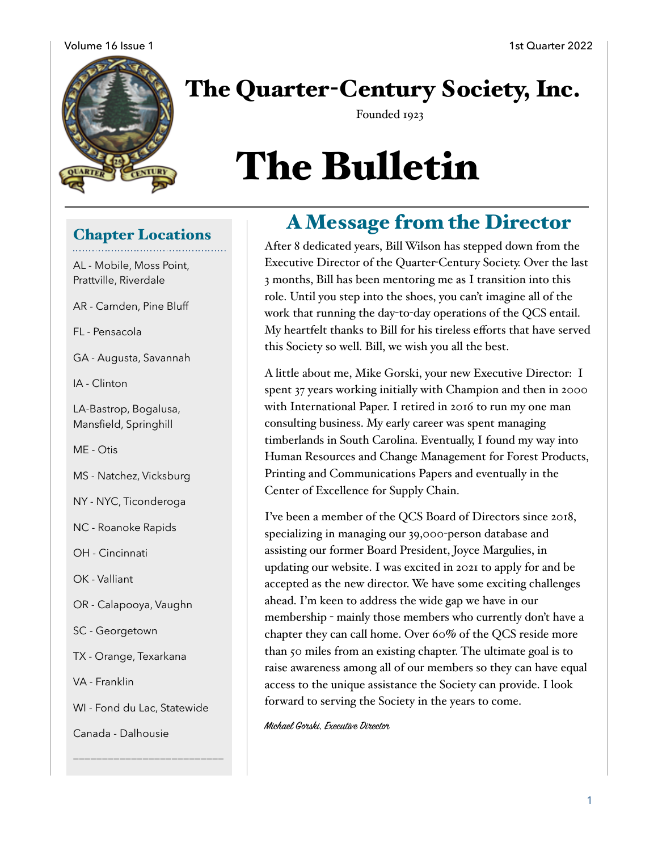

# The Quarter-Century Society, Inc.

Founded 1923

# The Bulletin

#### Chapter Locations

AL - Mobile, Moss Point, Prattville, Riverdale

AR - Camden, Pine Bluff

FL - Pensacola

GA - Augusta, Savannah

IA - Clinton

LA-Bastrop, Bogalusa, Mansfield, Springhill

ME - Otis

MS - Natchez, Vicksburg

NY - NYC, Ticonderoga

NC - Roanoke Rapids

OH - Cincinnati

OK - Valliant

OR - Calapooya, Vaughn

SC - Georgetown

TX - Orange, Texarkana

VA - Franklin

WI - Fond du Lac, Statewide

**——————————————————————————** 

Canada - Dalhousie

## A Message from the Director

After 8 dedicated years, Bill Wilson has stepped down from the Executive Director of the Quarter-Century Society. Over the last 3 months, Bill has been mentoring me as I transition into this role. Until you step into the shoes, you can't imagine all of the work that running the day-to-day operations of the QCS entail. My heartfelt thanks to Bill for his tireless efforts that have served this Society so well. Bill, we wish you all the best.

A little about me, Mike Gorski, your new Executive Director: I spent 37 years working initially with Champion and then in 2000 with International Paper. I retired in 2016 to run my one man consulting business. My early career was spent managing timberlands in South Carolina. Eventually, I found my way into Human Resources and Change Management for Forest Products, Printing and Communications Papers and eventually in the Center of Excellence for Supply Chain.

I've been a member of the QCS Board of Directors since 2018, specializing in managing our 39,000-person database and assisting our former Board President, Joyce Margulies, in updating our website. I was excited in 2021 to apply for and be accepted as the new director. We have some exciting challenges ahead. I'm keen to address the wide gap we have in our membership - mainly those members who currently don't have a chapter they can call home. Over 60% of the QCS reside more than 50 miles from an existing chapter. The ultimate goal is to raise awareness among all of our members so they can have equal access to the unique assistance the Society can provide. I look forward to serving the Society in the years to come.

Michael Gorski, Executive Director